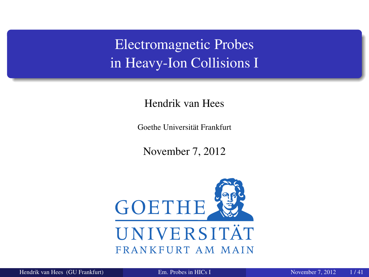Electromagnetic Probes in Heavy-Ion Collisions I

Hendrik van Hees

Goethe Universität Frankfurt

<span id="page-0-0"></span>November 7, 2012

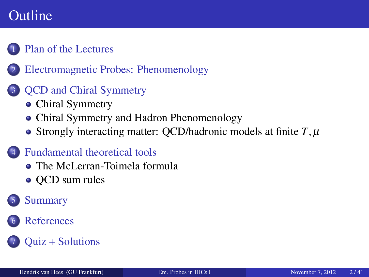## Outline

#### [Plan of the Lectures](#page-2-0)

2 [Electromagnetic Probes: Phenomenology](#page-3-0)

#### **QCD** and Chiral Symmetry

- [Chiral Symmetry](#page-9-0)
- [Chiral Symmetry and Hadron Phenomenology](#page-16-0)
- [Strongly interacting matter: QCD/hadronic models at finite](#page-17-0)  $T, \mu$

#### [Fundamental theoretical tools](#page-21-0)

- [The McLerran-Toimela formula](#page-21-0)
- OCD sum rules

#### **[Summary](#page-32-0)**

#### **[References](#page-33-0)**

#### [Quiz + Solutions](#page-39-0)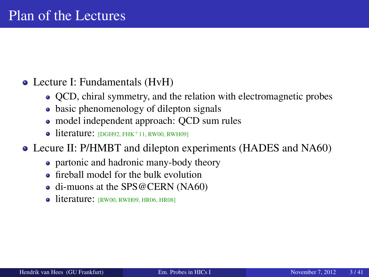#### Lecture I: Fundamentals (HvH)

- QCD, chiral symmetry, and the relation with electromagnetic probes
- basic phenomenology of dilepton signals
- model independent approach: QCD sum rules
- <span id="page-2-0"></span> $\bullet$  literature:  $[DGH92, FHK^+11, RW00, RWH09]$  $[DGH92, FHK^+11, RW00, RWH09]$  $[DGH92, FHK^+11, RW00, RWH09]$  $[DGH92, FHK^+11, RW00, RWH09]$  $[DGH92, FHK^+11, RW00, RWH09]$
- Lecure II: P/HMBT and dilepton experiments (HADES and NA60)
	- partonic and hadronic many-body theory
	- **•** fireball model for the bulk evolution
	- di-muons at the SPS@CERN (NA60)
	- $\bullet$  literature:  $(RW00, RWH09, HR06, HR08)$  $(RW00, RWH09, HR06, HR08)$  $(RW00, RWH09, HR06, HR08)$  $(RW00, RWH09, HR06, HR08)$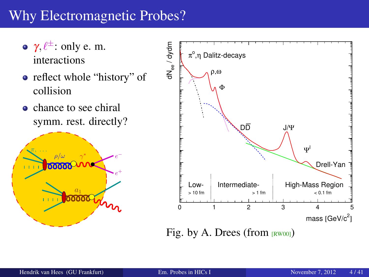# Why Electromagnetic Probes?

- $\gamma, \ell^{\pm}$ : only e.m. interactions
- reflect whole "history" of collision
- chance to see chiral symm. rest. directly?





<span id="page-3-0"></span>Fig. by A. Drees (from  $_{\text{RW00}}$ )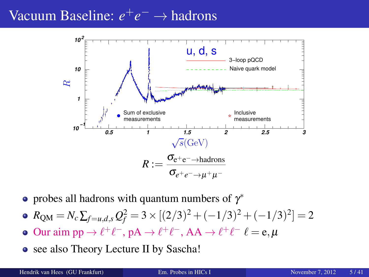# Vacuum Baseline: *e*<sup>+</sup>*e*<sup>−</sup> → hadrons



probes all hadrons with quantum numbers of  $\gamma^*$ 

• 
$$
R_{QM} = N_c \sum_{f=u,d,s} Q_f^2 = 3 \times [(2/3)^2 + (-1/3)^2 + (-1/3)^2] = 2
$$

- Our aim pp  $\rightarrow \ell^+ \ell^-$ , pA  $\rightarrow \ell^+ \ell^-$ , AA  $\rightarrow \ell^+ \ell^ \ell = e, \mu$
- see also Theory Lecture II by Sascha!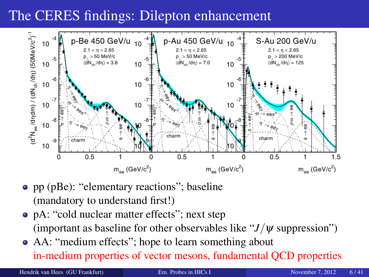# The CERES findings: Dilepton enhancement



- pp (pBe): "elementary reactions"; baseline (mandatory to understand first!)
- pA: "cold nuclear matter effects"; next step (important as baseline for other observables like " $J/\psi$  suppression")
- AA: "medium effects"; hope to learn something about in-medium properties of vector mesons, fundamental QCD properties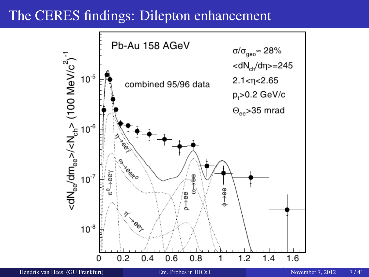### The CERES findings: Dilepton enhancement

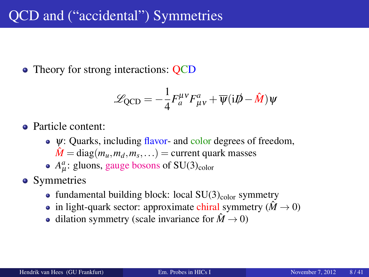• Theory for strong interactions: QCD

<span id="page-7-0"></span>
$$
\mathcal{L}_{\text{QCD}} = -\frac{1}{4} F_a^{\mu\nu} F_{\mu\nu}^a + \overline{\psi} (i\rlap{/}D - \hat{M}) \psi
$$

Particle content:

- $\bullet \psi$ : Quarks, including flavor- and color degrees of freedom,  $\hat{M} = \text{diag}(m_u, m_d, m_s, \ldots) = \text{current quark masses}$
- $A^a_\mu$ : gluons, gauge bosons of SU(3)<sub>color</sub>
- Symmetries
	- fundamental building block: local  $SU(3)_{\text{color}}$  symmetry
	- in light-quark sector: approximate chiral symmetry ( $\hat{M} \rightarrow 0$ )
	- dilation symmetry (scale invariance for  $\hat{M} \rightarrow 0$ )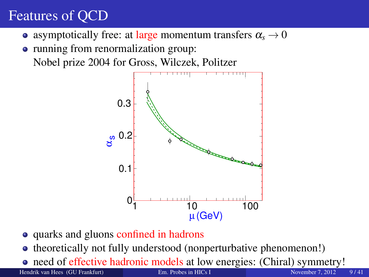# Features of QCD

- asymptotically free: at large momentum transfers  $\alpha_s \rightarrow 0$
- running from renormalization group: Nobel prize 2004 for Gross, Wilczek, Politzer



- quarks and gluons confined in hadrons
- theoretically not fully understood (nonperturbative phenomenon!)
- need of effective hadronic models at low energies: (Chiral) symmetry! Hendrik van Hees (GU Frankfurt) [Em. Probes in HICs I](#page-0-0) November 7, 2012 9 / 41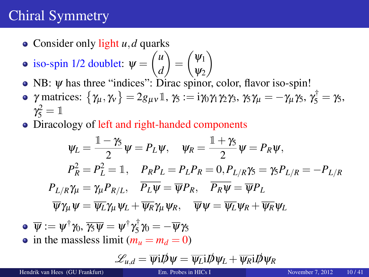# Chiral Symmetry

- Consider only light *u*, *d* quarks
- iso-spin 1/2 doublet:  $\psi = \begin{pmatrix} u \\ d \end{pmatrix}$ *d*  $=\begin{pmatrix} \psi_1 \\ \psi_2 \end{pmatrix}$  $\Psi_2$  $\setminus$
- NB: *ψ* has three "indices": Dirac spinor, color, flavor iso-spin!
- $\gamma$  matrices:  $\{\gamma_{\mu}, \gamma_{\nu}\}=2g_{\mu\nu}\mathbb{1}, \gamma_{5}:=i\gamma_{0}\gamma_{1}\gamma_{2}\gamma_{3}, \gamma_{5}\gamma_{\mu}=-\gamma_{\mu}\gamma_{5}, \gamma_{5}^{\dagger}=\gamma_{5},$  $\gamma_5^2 = 1$
- Diracology of left and right-handed components

$$
\psi_L = \frac{\mathbb{1} - \gamma_5}{2} \psi = P_L \psi, \quad \psi_R = \frac{\mathbb{1} + \gamma_5}{2} \psi = P_R \psi,
$$
  
\n
$$
P_R^2 = P_L^2 = \mathbb{1}, \quad P_R P_L = P_L P_R = 0, P_{L/R} \gamma_5 = \gamma_5 P_{L/R} = -P_{L/R}
$$
  
\n
$$
P_{L/R} \gamma_\mu = \gamma_\mu P_{R/L}, \quad \overline{P_L \psi} = \overline{\psi} P_R, \quad \overline{P_R \psi} = \overline{\psi} P_L
$$
  
\n
$$
\overline{\psi} \gamma_\mu \psi = \overline{\psi_L} \gamma_\mu \psi_L + \overline{\psi_R} \gamma_\mu \psi_R, \quad \overline{\psi} \psi = \overline{\psi_L} \psi_R + \overline{\psi_R} \psi_L
$$
  
\n
$$
\overline{\psi} := \psi^{\dagger} \gamma_0, \overline{\gamma_5 \psi} = \psi^{\dagger} \gamma_5^{\dagger} \gamma_0 = -\overline{\psi} \gamma_5
$$
  
\nin the massless limit  $(m_u = m_d = 0)$ 

<span id="page-9-0"></span>
$$
\mathscr{L}_{u,d} = \overline{\psi} \mathrm{i} I \!\!\not{\!\!\! D} \psi = \overline{\psi_L} \mathrm{i} I \!\!\not{\!\!\! D} \psi_L + \overline{\psi_R} \mathrm{i} I \!\!\not{\!\!\! D} \psi_R
$$

Hendrik van Hees (GU Frankfurt) [Em. Probes in HICs I](#page-0-0) November 7, 2012 10 / 41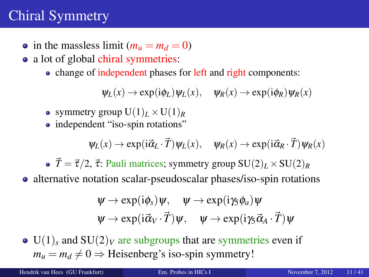# Chiral Symmetry

- in the massless limit  $(m_u = m_d = 0)$
- a lot of global chiral symmetries:
	- change of independent phases for left and right components:

 $\Psi_L(x) \to \exp(i\phi_L)\Psi_L(x), \quad \Psi_R(x) \to \exp(i\phi_R)\Psi_R(x)$ 

- symmetry group  $U(1)_L \times U(1)_R$
- independent "iso-spin rotations"

$$
\psi_L(x) \to \exp(i\vec{\alpha}_L \cdot \vec{T}) \psi_L(x), \quad \psi_R(x) \to \exp(i\vec{\alpha}_R \cdot \vec{T}) \psi_R(x)
$$

•  $\vec{T} = \vec{\tau}/2$ ,  $\vec{\tau}$ : Pauli matrices; symmetry group  $SU(2)_L \times SU(2)_R$ 

• alternative notation scalar-pseudoscalar phases/iso-spin rotations

$$
\psi \to \exp(i\phi_s)\psi, \quad \psi \to \exp(i\gamma_s\phi_a)\psi \n\psi \to \exp(i\vec{\alpha}_V \cdot \vec{T})\psi, \quad \psi \to \exp(i\gamma_s\vec{\alpha}_A \cdot \vec{T})\psi
$$

 $\bullet$  U(1)<sub>s</sub> and SU(2)<sub>V</sub> are subgroups that are symmetries even if  $m_u = m_d \neq 0 \Rightarrow$  Heisenberg's iso-spin symmetry!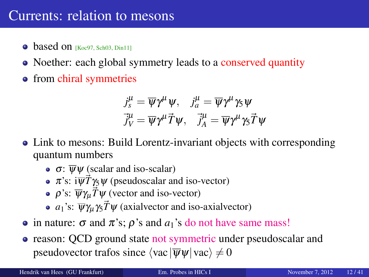### Currents: relation to mesons

- $\bullet$  based on  $Koc97$ , [Sch03,](#page-37-1) Din111
- Noether: each global symmetry leads to a conserved quantity
- from chiral symmetries

$$
j_s^{\mu} = \overline{\psi} \gamma^{\mu} \psi, \quad j_a^{\mu} = \overline{\psi} \gamma^{\mu} \gamma_5 \psi
$$

$$
\vec{j}_V^{\mu} = \overline{\psi} \gamma^{\mu} \vec{T} \psi, \quad \vec{j}_A^{\mu} = \overline{\psi} \gamma^{\mu} \gamma_5 \vec{T} \psi
$$

- Link to mesons: Build Lorentz-invariant objects with corresponding quantum numbers
	- $\bullet$   $\sigma$ :  $\overline{\psi}\psi$  (scalar and iso-scalar)
	- $\pi$ 's:  $i\overline{\psi}\overline{T}\gamma_5\psi$  (pseudoscalar and iso-vector)
	- $\rho$ 's:  $\overline{\psi}\gamma_{\mu}\vec{T}\psi$  (vector and iso-vector)
	- $a_1$ 's:  $\overline{\psi}\gamma_\mu\gamma_5 \vec{T}\psi$  (axialvector and iso-axialvector)
- $\bullet$  in nature: σ and π's;  $\rho$ 's and  $a_1$ 's do not have same mass!
- reason: OCD ground state not symmetric under pseudoscalar and pseudovector trafos since  $\langle vac | \overline{\psi}\psi | vac \rangle \neq 0$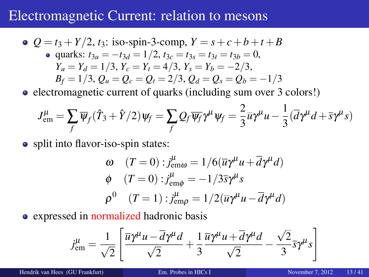### Electromagnetic Current: relation to mesons

• 
$$
Q = t_3 + Y/2
$$
,  $t_3$ : iso-spin-3-comp,  $Y = s + c + b + t + B$   
\n• quarks:  $t_{3u} = -t_{3d} = 1/2$ ,  $t_{3c} = t_{3s} = t_{3t} = t_{3b} = 0$ ,  
\n $Y_u = Y_d = 1/3$ ,  $Y_c = Y_t = 4/3$ ,  $Y_s = Y_b = -2/3$ ,  
\n $B_f = 1/3$ ,  $Q_u = Q_c = Q_t = 2/3$ ,  $Q_d = Q_s = Q_b = -1/3$ 

• electromagnetic current of quarks (including sum over 3 colors!)

$$
J_{\text{em}}^{\mu} = \sum_{f} \overline{\psi}_{f} (\hat{T}_{3} + \hat{Y}/2) \psi_{f} = \sum_{f} Q_{f} \overline{\psi_{f}} \gamma^{\mu} \psi_{f} = \frac{2}{3} \overline{u} \gamma^{\mu} u - \frac{1}{3} (\overline{d} \gamma^{\mu} d + \overline{s} \gamma^{\mu} s)
$$

• split into flavor-iso-spin states:

$$
\omega \quad (T = 0) : j_{\text{em}\omega}^{\mu} = 1/6(\overline{u}\gamma^{\mu}u + \overline{d}\gamma^{\mu}d)
$$
  
\n
$$
\phi \quad (T = 0) : j_{\text{em}\phi}^{\mu} = -1/3\overline{s}\gamma^{\mu}s
$$
  
\n
$$
\rho^{0} \quad (T = 1) : j_{\text{em}\rho}^{\mu} = 1/2(\overline{u}\gamma^{\mu}u - \overline{d}\gamma^{\mu}d)
$$

• expressed in normalized hadronic basis

$$
j_{\text{em}}^{\mu} = \frac{1}{\sqrt{2}} \left[ \frac{\overline{u} \gamma^{\mu} u - \overline{d} \gamma^{\mu} d}{\sqrt{2}} + \frac{1}{3} \frac{\overline{u} \gamma^{\mu} u + \overline{d} \gamma^{\mu} d}{\sqrt{2}} - \frac{\sqrt{2}}{3} \overline{s} \gamma^{\mu} s \right]
$$

Hendrik van Hees (GU Frankfurt) [Em. Probes in HICs I](#page-0-0) November 7, 2012 13 / 41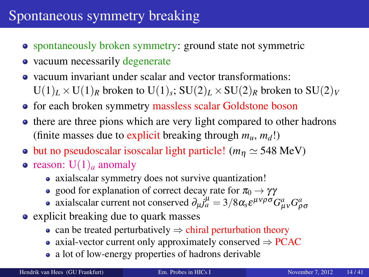### Spontaneous symmetry breaking

- spontaneously broken symmetry: ground state not symmetric
- vacuum necessarily degenerate
- vacuum invariant under scalar and vector transformations:  $U(1)_L \times U(1)_R$  broken to  $U(1)_s$ ;  $SU(2)_L \times SU(2)_R$  broken to  $SU(2)_V$
- for each broken symmetry massless scalar Goldstone boson
- there are three pions which are very light compared to other hadrons (finite masses due to explicit breaking through  $m_u$ ,  $m_d$ !)
- but no pseudoscalar isoscalar light particle! ( $m<sub>η</sub> \approx 548$  MeV)
- reason:  $U(1)$ <sub>*a*</sub> anomaly
	- axialscalar symmetry does not survive quantization!
	- good for explanation of correct decay rate for  $\pi_0 \rightarrow \gamma \gamma$
	- axialscalar current not conserved  $\partial_\mu j_a^\mu = 3/8 \alpha_s \varepsilon^{\mu\nu\rho\sigma} G^a_{\mu\nu} G^a_{\rho\sigma}$
- explicit breaking due to quark masses
	- can be treated perturbatively  $\Rightarrow$  chiral perturbation theory
	- axial-vector current only approximately conserved  $\Rightarrow$  PCAC
	- a lot of low-energy properties of hadrons derivable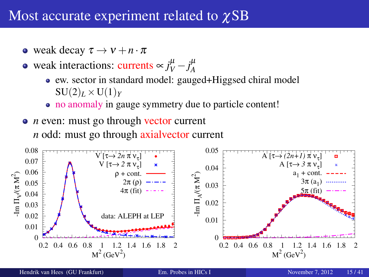### Most accurate experiment related to χSB

- weak decay  $\tau \to v + n \cdot \pi$
- weak interactions: currents  $\propto j_V^{\mu} j_A^{\mu}$ *A*
	- ew. sector in standard model: gauged+Higgsed chiral model  $SU(2)_L \times U(1)_Y$
	- no anomaly in gauge symmetry due to particle content!
- *n* even: must go through vector current *n* odd: must go through axialvector current

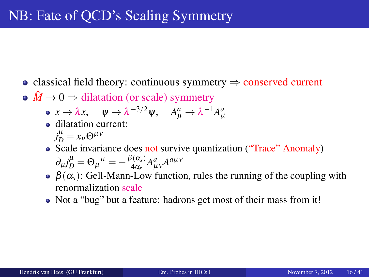- classical field theory: continuous symmetry  $\Rightarrow$  conserved current
- $\hat{M} \rightarrow 0 \Rightarrow$  dilatation (or scale) symmetry
	- $x \to \lambda x$ ,  $\psi \to \lambda^{-3/2} \psi$ ,  $A^a_\mu \to \lambda^{-1} A^a_\mu$
	- dilatation current:  $j_D^\mu = x_\nu \Theta^{\mu\nu}$
	- Scale invariance does not survive quantization ("Trace" Anomaly)  $\partial_{\mu}j_{D}^{\mu}=\Theta_{\mu}{}^{\mu}=-\frac{\beta(\alpha_{s})}{4\alpha_{s}}$  $\frac{\partial (\alpha_s)}{\partial \alpha_s} A^a_{\mu\nu} A^{a\mu\nu}$
	- $\theta$   $\beta(\alpha_s)$ : Gell-Mann-Low function, rules the running of the coupling with renormalization scale
	- Not a "bug" but a feature: hadrons get most of their mass from it!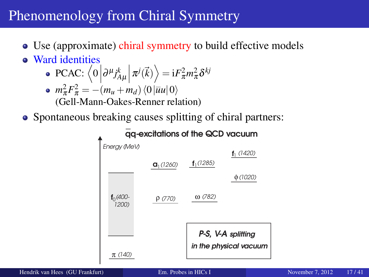## Phenomenology from Chiral Symmetry

- Use (approximate) chiral symmetry to build effective models
- Ward identities
	- $\text{PCAC: } \left\langle 0 \left| \partial^{\mu} j_{A\mu}^{k} \right| \pi^{j}(\vec{k}) \right\rangle = \text{i} F_{\pi}^{2} m_{\pi}^{2} \delta^{kj}$
	- $m_{\pi}^2 F_{\pi}^2 = -(m_u + m_d) \langle 0 | \overline{u}u | 0 \rangle$ (Gell-Mann-Oakes-Renner relation)
- Spontaneous breaking causes splitting of chiral partners:

<span id="page-16-0"></span>

Hendrik van Hees (GU Frankfurt) [Em. Probes in HICs I](#page-0-0) November 7, 2012 17 / 41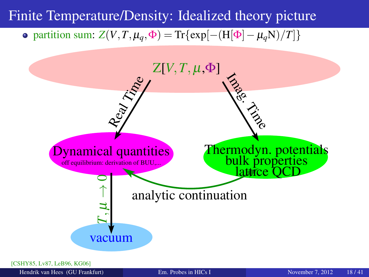#### Finite Temperature/Density: Idealized theory picture

#### $\phi$  partition sum: *Z*(*V*,*T*, μ<sub>*q*</sub>,  $\Phi$ ) = Tr{exp[−(H[ $\Phi$ ] − μ<sub>*q*</sub>N)/*T*]}



[\[CSHY85,](#page-33-2) [Lv87,](#page-36-1) [LeB96,](#page-36-2) [KG06\]](#page-35-3)

<span id="page-17-0"></span>Hendrik van Hees (GU Frankfurt) [Em. Probes in HICs I](#page-0-0) November 7, 2012 18 / 41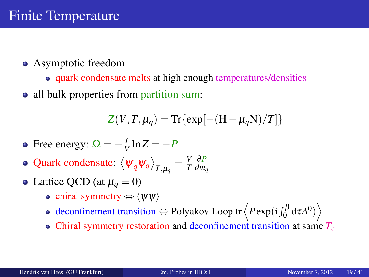- Asymptotic freedom
	- quark condensate melts at high enough temperatures/densities
- all bulk properties from partition sum:

$$
Z(V,T,\mu_q) = \text{Tr}\{\exp[-(H-\mu_q N)/T]\}
$$

- Free energy:  $\Omega = -\frac{T}{V}$  $\frac{I}{V}$ ln Z =  $-P$
- Quark condensate:  $\left\langle \overline{\psi}_q \psi_q \right\rangle_{T,\mu_q} = \frac{V}{T}$ *T* ∂*P* ∂*m<sup>q</sup>*
- Lattice QCD (at  $\mu_q = 0$ )
	- chiral symmetry  $\Leftrightarrow \langle \overline{\psi} \psi \rangle$
	- deconfinement transition  $\Leftrightarrow$  Polyakov Loop tr $\left\langle P \exp(\mathrm{i} \int_0^\beta \mathrm{d} \tau A^0) \right\rangle$
	- Chiral symmetry restoration and deconfinement transition at same *T<sup>c</sup>*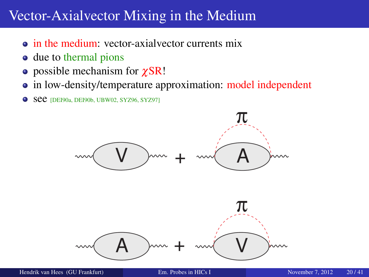### Vector-Axialvector Mixing in the Medium

- in the medium: vector-axialvector currents mix
- due to thermal pions
- possible mechanism for  $\chi$ SR!
- in low-density/temperature approximation: model independent
- **•** See [\[DEI90a,](#page-33-3) [DEI90b,](#page-33-4) [UBW02,](#page-38-0) [SYZ96,](#page-37-2) [SYZ97\]](#page-38-1)



Hendrik van Hees (GU Frankfurt) [Em. Probes in HICs I](#page-0-0) November 7, 2012 20/41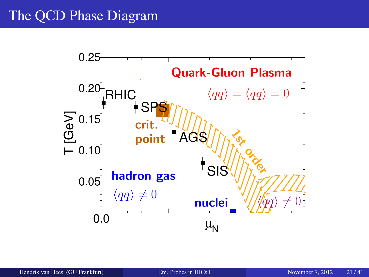# The QCD Phase Diagram

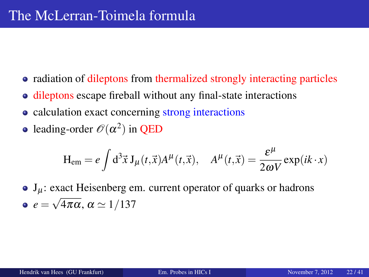- radiation of dileptons from thermalized strongly interacting particles
- dileptons escape fireball without any final-state interactions
- calculation exact concerning strong interactions
- leading-order  $\mathscr{O}(\alpha^2)$  in QED

<span id="page-21-0"></span>
$$
H_{em} = e \int d^3 \vec{x} J_\mu(t, \vec{x}) A^\mu(t, \vec{x}), \quad A^\mu(t, \vec{x}) = \frac{\varepsilon^\mu}{2\omega V} \exp(ik \cdot x)
$$

 $J_{\mu}$ : exact Heisenberg em. current operator of quarks or hadrons  $e = \sqrt{4\pi\alpha}, \alpha \simeq 1/137$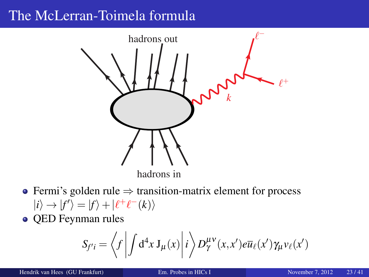## The McLerran-Toimela formula



- Fermi's golden rule ⇒ transition-matrix element for process  $|i\rangle \rightarrow |f'\rangle = |f\rangle + |f'+f^{-}(k)\rangle$
- OED Feynman rules

$$
S_{f'i} = \left\langle f \left| \int d^4x \, J_\mu(x) \right| i \right\rangle D_\gamma^{\mu\nu}(x, x') e \overline{u}_\ell(x') \gamma_\mu \nu_\ell(x')
$$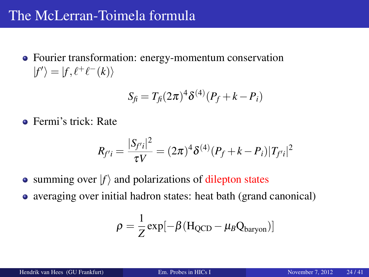### The McLerran-Toimela formula

Fourier transformation: energy-momentum conservation  $|f'\rangle = |f, \ell^+ \ell^-(k)\rangle$ 

$$
S_{fi} = T_{fi} (2\pi)^4 \delta^{(4)} (P_f + k - P_i)
$$

• Fermi's trick: Rate

$$
R_{f'i} = \frac{|S_{f'i}|^2}{\tau V} = (2\pi)^4 \delta^{(4)}(P_f + k - P_i)|T_{f'i}|^2
$$

- summing over  $|f\rangle$  and polarizations of dilepton states
- averaging over initial hadron states: heat bath (grand canonical)

$$
\rho = \frac{1}{Z} \exp[-\beta (H_{QCD} - \mu_B Q_{baryon})]
$$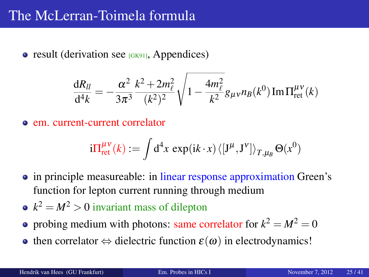$\bullet$  result (derivation see  $(GK91)$ , Appendices)

$$
\frac{dR_{ll}}{d^4k} = -\frac{\alpha^2}{3\pi^3} \frac{k^2 + 2m_{\ell}^2}{(k^2)^2} \sqrt{1 - \frac{4m_{\ell}^2}{k^2}} g_{\mu\nu} n_B(k^0) \operatorname{Im} \Pi_{\text{ret}}^{\mu\nu}(k)
$$

em. current-current correlator

$$
\mathrm{i} \Pi^{\mu\nu}_{\mathrm{ret}}(k) := \int \mathrm{d}^4x \, \exp(\mathrm{i} k \cdot x) \, \langle [\mathrm{J}^\mu, \mathrm{J}^\nu] \rangle_{T,\mu_\text{B}} \, \Theta(x^0)
$$

- in principle measureable: in linear response approximation Green's function for lepton current running through medium
- $k^2 = M^2 > 0$  invariant mass of dilepton
- probing medium with photons: same correlator for  $k^2 = M^2 = 0$
- then correlator  $\Leftrightarrow$  dielectric function  $\varepsilon(\omega)$  in electrodynamics!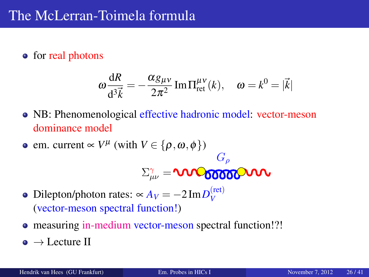#### • for real photons

$$
\omega \frac{\mathrm{d}R}{\mathrm{d}^3 \vec{k}} = -\frac{\alpha g_{\mu\nu}}{2\pi^2} \mathrm{Im} \Pi_{\mathrm{ret}}^{\mu\nu}(k), \quad \omega = k^0 = |\vec{k}|
$$

• NB: Phenomenological effective hadronic model: vector-meson dominance model

• em. current 
$$
\propto V^{\mu}
$$
 (with  $V \in \{\rho, \omega, \phi\}$ )  

$$
\Sigma^{\gamma}_{\mu\nu} = \mathbf{U} \mathbf{V} \mathbf{C} \mathbf{V} \mathbf{C} \mathbf{V} \mathbf{V}
$$

- Dilepton/photon rates:  $\propto A_V = -2 \text{Im} D_V^{(\text{ret})}$ *V* (vector-meson spectral function!)
- measuring in-medium vector-meson spectral function!?!
- $\bullet \rightarrow$  Lecture II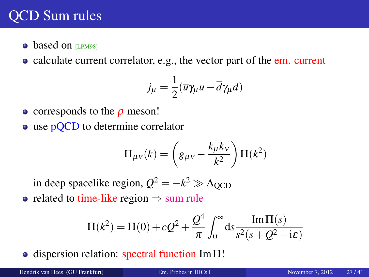- based on **LPM981**
- calculate current correlator, e.g., the vector part of the em. current

$$
j_{\mu} = \frac{1}{2} (\overline{u} \gamma_{\mu} u - \overline{d} \gamma_{\mu} d)
$$

- $\bullet$  corresponds to the  $\rho$  meson!
- use pOCD to determine correlator

<span id="page-26-0"></span>
$$
\Pi_{\mu\nu}(k) = \left(g_{\mu\nu} - \frac{k_{\mu}k_{\nu}}{k^2}\right)\Pi(k^2)
$$

in deep spacelike region,  $Q^2 = -k^2 \gg \Lambda_{\text{QCD}}$ 

• related to time-like region  $\Rightarrow$  sum rule

$$
\Pi(k^{2}) = \Pi(0) + cQ^{2} + \frac{Q^{4}}{\pi} \int_{0}^{\infty} ds \frac{\text{Im}\,\Pi(s)}{s^{2}(s+Q^{2}-i\epsilon)}
$$

 $\bullet$  dispersion relation: spectral function Im $\Pi$ !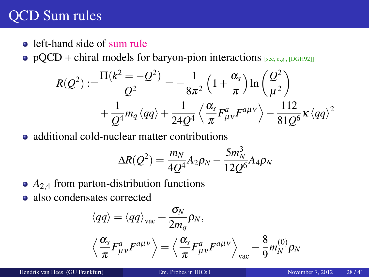• left-hand side of sum rule

•  $pQCD$  + chiral models for baryon-pion interactions [see, e.g., [\[DGH92\]](#page-33-1)]

$$
R(Q^2) := \frac{\Pi(k^2 = -Q^2)}{Q^2} = -\frac{1}{8\pi^2} \left(1 + \frac{\alpha_s}{\pi}\right) \ln\left(\frac{Q^2}{\mu^2}\right) + \frac{1}{Q^4} m_q \langle \overline{q}q \rangle + \frac{1}{24Q^4} \left\langle \frac{\alpha_s}{\pi} F_{\mu\nu}^a F^{a\mu\nu} \right\rangle - \frac{112}{81Q^6} \kappa \langle \overline{q}q \rangle^2
$$

• additional cold-nuclear matter contributions

$$
\Delta R(Q^2) = \frac{m_N}{4Q^4} A_2 \rho_N - \frac{5m_N^3}{12Q^6} A_4 \rho_N
$$

- $A_{2,4}$  from parton-distribution functions
- also condensates corrected

$$
\langle \overline{q}q \rangle = \langle \overline{q}q \rangle_{\text{vac}} + \frac{\sigma_N}{2m_q} \rho_N,
$$
  

$$
\left\langle \frac{\alpha_s}{\pi} F_{\mu\nu}^a F^{a\mu\nu} \right\rangle = \left\langle \frac{\alpha_s}{\pi} F_{\mu\nu}^a F^{a\mu\nu} \right\rangle_{\text{vac}} - \frac{8}{9} m_N^{(0)} \rho_N
$$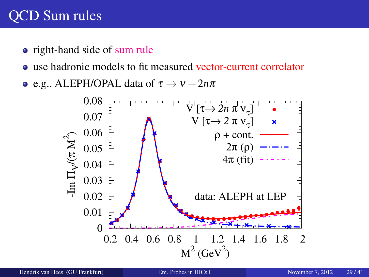- right-hand side of sum rule
- use hadronic models to fit measured vector-current correlator
- e.g., ALEPH/OPAL data of  $\tau \to \nu + 2n\pi$

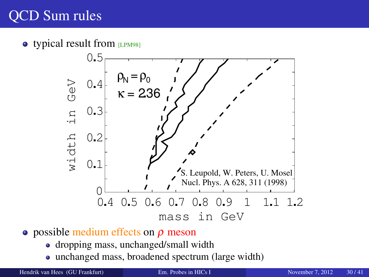$\bullet$  typical result from [\[LPM98\]](#page-36-3)



- **•** possible medium effects on  $\rho$  meson
	- dropping mass, unchanged/small width
	- unchanged mass, broadened spectrum (large width)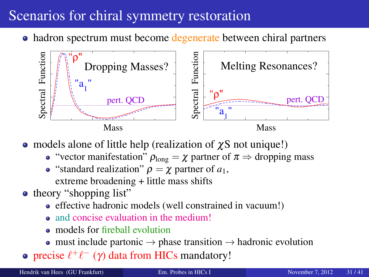# Scenarios for chiral symmetry restoration

• hadron spectrum must become degenerate between chiral partners



• models alone of little help (realization of  $\chi$ S not unique!)

- "vector manifestation"  $\rho_{\text{long}} = \chi$  partner of  $\pi \Rightarrow$  dropping mass
- "standard realization"  $ρ = χ$  partner of  $a_1$ , extreme broadening + little mass shifts
- theory "shopping list"
	- effective hadronic models (well constrained in vacuum!)
	- and concise evaluation in the medium!
	- **a** models for fireball evolution
	- must include partonic  $\rightarrow$  phase transition  $\rightarrow$  hadronic evolution
- precise  $\ell^+ \ell^-$  (γ) data from HICs mandatory!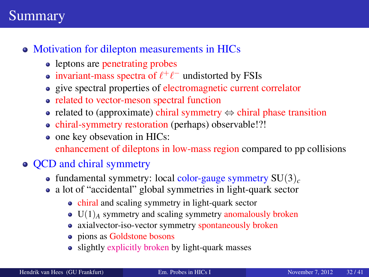### Summary

#### • Motivation for dilepton measurements in HICs

- leptons are penetrating probes
- invariant-mass spectra of  $\ell^+\ell^-$  undistorted by FSIs
- give spectral properties of electromagnetic current correlator
- related to vector-meson spectral function
- related to (approximate) chiral symmetry  $\Leftrightarrow$  chiral phase transition
- chiral-symmetry restoration (perhaps) observable!?!
- one key obsevation in HICs: enhancement of dileptons in low-mass region compared to pp collisions

#### • QCD and chiral symmetry

- fundamental symmetry: local color-gauge symmetry  $SU(3)_c$
- a lot of "accidental" global symmetries in light-quark sector
	- chiral and scaling symmetry in light-quark sector
	- $\bullet$  U(1)<sub>A</sub> symmetry and scaling symmetry anomalously broken
	- axialvector-iso-vector symmetry spontaneously broken
	- pions as Goldstone bosons
	- slightly explicitly broken by light-quark masses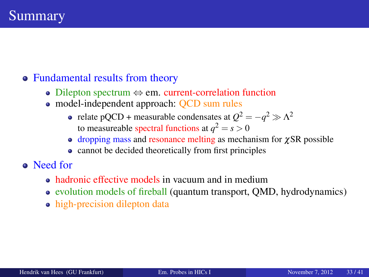#### • Fundamental results from theory

- Dilepton spectrum  $\Leftrightarrow$  em. current-correlation function
- model-independent approach: QCD sum rules
	- relate pQCD + measurable condensates at  $Q^2 = -q^2 \gg \Lambda^2$ to measureable spectral functions at  $q^2 = s > 0$
	- $\bullet$  dropping mass and resonance melting as mechanism for  $\gamma$ SR possible
	- cannot be decided theoretically from first principles
- <span id="page-32-0"></span>Need for
	- hadronic effective models in vacuum and in medium
	- evolution models of fireball (quantum transport, QMD, hydrodynamics)
	- high-precision dilepton data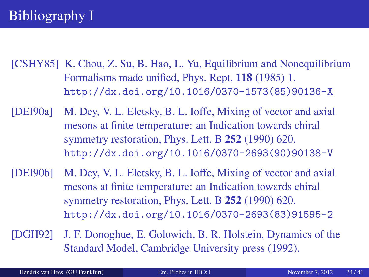<span id="page-33-2"></span>[CSHY85] K. Chou, Z. Su, B. Hao, L. Yu, Equilibrium and Nonequilibrium Formalisms made unified, Phys. Rept. 118 (1985) 1. [http://dx.doi.org/10.1016/0370-1573\(85\)90136-X](http://dx.doi.org/10.1016/0370-1573(85)90136-X)

<span id="page-33-3"></span>[DEI90a] M. Dey, V. L. Eletsky, B. L. Ioffe, Mixing of vector and axial mesons at finite temperature: an Indication towards chiral symmetry restoration, Phys. Lett. B 252 (1990) 620. [http://dx.doi.org/10.1016/0370-2693\(90\)90138-V](http://dx.doi.org/10.1016/0370-2693(90)90138-V)

- <span id="page-33-4"></span>[DEI90b] M. Dey, V. L. Eletsky, B. L. Ioffe, Mixing of vector and axial mesons at finite temperature: an Indication towards chiral symmetry restoration, Phys. Lett. B 252 (1990) 620. [http://dx.doi.org/10.1016/0370-2693\(83\)91595-2](http://dx.doi.org/10.1016/0370-2693(83)91595-2)
- <span id="page-33-1"></span><span id="page-33-0"></span>[DGH92] J. F. Donoghue, E. Golowich, B. R. Holstein, Dynamics of the Standard Model, Cambridge University press (1992).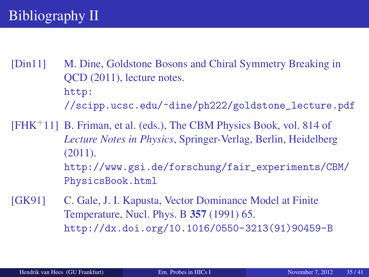<span id="page-34-1"></span>[Din11] M. Dine, Goldstone Bosons and Chiral Symmetry Breaking in QCD (2011), lecture notes. [http:](http://scipp.ucsc.edu/~dine/ph222/goldstone_lecture.pdf) [//scipp.ucsc.edu/~dine/ph222/goldstone\\_lecture.pdf](http://scipp.ucsc.edu/~dine/ph222/goldstone_lecture.pdf)

<span id="page-34-0"></span>[FHK+11] B. Friman, et al. (eds.), The CBM Physics Book, vol. 814 of *Lecture Notes in Physics*, Springer-Verlag, Berlin, Heidelberg (2011). [http://www.gsi.de/forschung/fair\\_experiments/CBM/](http://www.gsi.de/forschung/fair_experiments/CBM/PhysicsBook.html) [PhysicsBook.html](http://www.gsi.de/forschung/fair_experiments/CBM/PhysicsBook.html)

<span id="page-34-2"></span>[GK91] C. Gale, J. I. Kapusta, Vector Dominance Model at Finite Temperature, Nucl. Phys. B 357 (1991) 65. [http://dx.doi.org/10.1016/0550-3213\(91\)90459-B](http://dx.doi.org/10.1016/0550-3213(91)90459-B)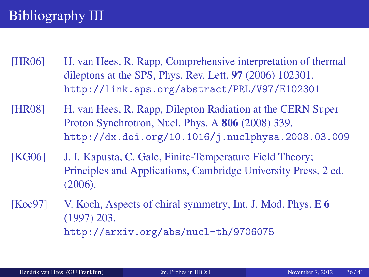# Bibliography III

- <span id="page-35-0"></span>[HR06] H. van Hees, R. Rapp, Comprehensive interpretation of thermal dileptons at the SPS, Phys. Rev. Lett. 97 (2006) 102301. <http://link.aps.org/abstract/PRL/V97/E102301>
- <span id="page-35-1"></span>[HR08] H. van Hees, R. Rapp, Dilepton Radiation at the CERN Super Proton Synchrotron, Nucl. Phys. A 806 (2008) 339. <http://dx.doi.org/10.1016/j.nuclphysa.2008.03.009>
- <span id="page-35-3"></span>[KG06] J. I. Kapusta, C. Gale, Finite-Temperature Field Theory; Principles and Applications, Cambridge University Press, 2 ed. (2006).

<span id="page-35-2"></span>[Koc97] V. Koch, Aspects of chiral symmetry, Int. J. Mod. Phys. E 6 (1997) 203. <http://arxiv.org/abs/nucl-th/9706075>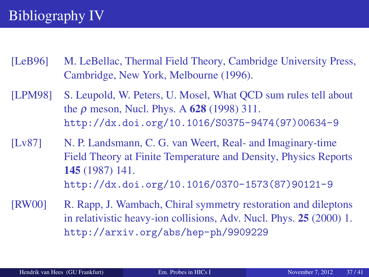# Bibliography IV

- <span id="page-36-2"></span>[LeB96] M. LeBellac, Thermal Field Theory, Cambridge University Press, Cambridge, New York, Melbourne (1996).
- <span id="page-36-3"></span>[LPM98] S. Leupold, W. Peters, U. Mosel, What QCD sum rules tell about the  $\rho$  meson, Nucl. Phys. A 628 (1998) 311. [http://dx.doi.org/10.1016/S0375-9474\(97\)00634-9](http://dx.doi.org/10.1016/S0375-9474(97)00634-9)
- <span id="page-36-1"></span>[Lv87] N. P. Landsmann, C. G. van Weert, Real- and Imaginary-time Field Theory at Finite Temperature and Density, Physics Reports 145 (1987) 141. [http://dx.doi.org/10.1016/0370-1573\(87\)90121-9](http://dx.doi.org/10.1016/0370-1573(87)90121-9)
- <span id="page-36-0"></span>[RW00] R. Rapp, J. Wambach, Chiral symmetry restoration and dileptons in relativistic heavy-ion collisions, Adv. Nucl. Phys. 25 (2000) 1. <http://arxiv.org/abs/hep-ph/9909229>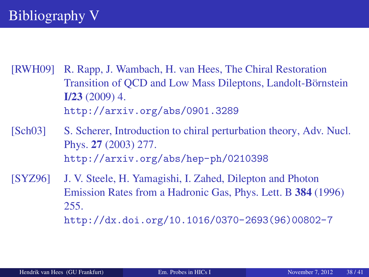- <span id="page-37-0"></span>[RWH09] R. Rapp, J. Wambach, H. van Hees, The Chiral Restoration Transition of OCD and Low Mass Dileptons, Landolt-Börnstein  $I/23$  (2009) 4. <http://arxiv.org/abs/0901.3289>
- <span id="page-37-1"></span>[Sch03] S. Scherer, Introduction to chiral perturbation theory, Adv. Nucl. Phys. 27 (2003) 277. <http://arxiv.org/abs/hep-ph/0210398>
- <span id="page-37-2"></span>[SYZ96] J. V. Steele, H. Yamagishi, I. Zahed, Dilepton and Photon Emission Rates from a Hadronic Gas, Phys. Lett. B 384 (1996) 255.

[http://dx.doi.org/10.1016/0370-2693\(96\)00802-7](http://dx.doi.org/10.1016/0370-2693(96)00802-7)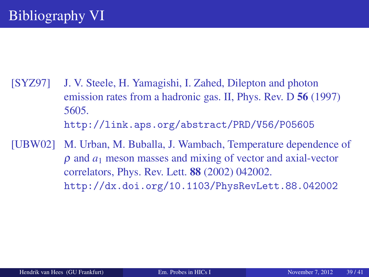- <span id="page-38-1"></span>[SYZ97] J. V. Steele, H. Yamagishi, I. Zahed, Dilepton and photon emission rates from a hadronic gas. II, Phys. Rev. D 56 (1997) 5605. <http://link.aps.org/abstract/PRD/V56/P05605>
- <span id="page-38-0"></span>[UBW02] M. Urban, M. Buballa, J. Wambach, Temperature dependence of ρ and *a*<sup>1</sup> meson masses and mixing of vector and axial-vector correlators, Phys. Rev. Lett. 88 (2002) 042002. <http://dx.doi.org/10.1103/PhysRevLett.88.042002>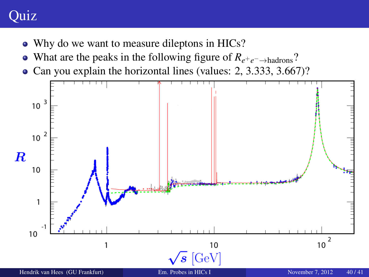# **Quiz**

- Why do we want to measure dileptons in HICs?
- What are the peaks in the following figure of *Re*+*e*−→hadrons?
- <span id="page-39-0"></span>• Can you explain the horizontal lines (values: 2, 3.333, 3.667)?